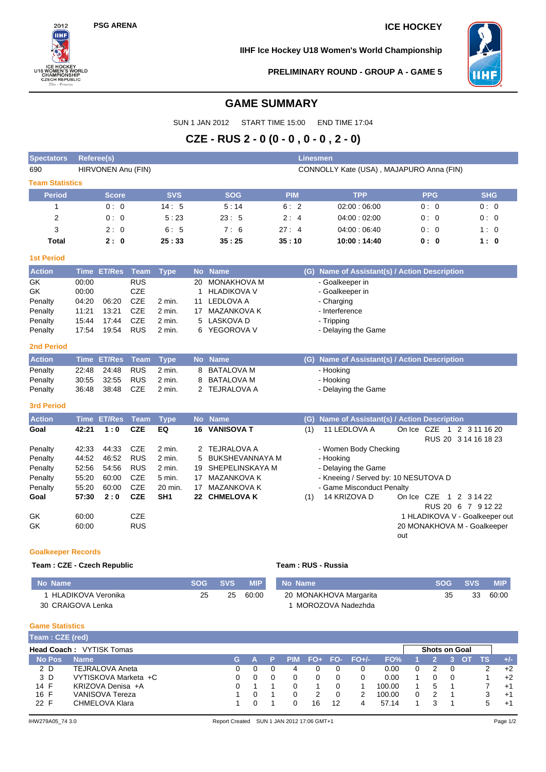## **PSG ARENA ICE HOCKEY**



**IIHF Ice Hockey U18 Women's World Championship**



**PRELIMINARY ROUND - GROUP A - GAME 5**

# **GAME SUMMARY**

SUN 1 JAN 2012 START TIME 15:00 END TIME 17:04

# **CZE - RUS 2 - 0 (0 - 0 , 0 - 0 , 2 - 0)**

| <b>Spectators</b>          |                | <b>Linesmen</b><br>Referee(s) |                   |                 |              |                        |                    |                                               |            |            |                                                               |  |
|----------------------------|----------------|-------------------------------|-------------------|-----------------|--------------|------------------------|--------------------|-----------------------------------------------|------------|------------|---------------------------------------------------------------|--|
| 690                        |                | HIRVONEN Anu (FIN)            |                   |                 |              |                        |                    | CONNOLLY Kate (USA), MAJAPURO Anna (FIN)      |            |            |                                                               |  |
| <b>Team Statistics</b>     |                |                               |                   |                 |              |                        |                    |                                               |            |            |                                                               |  |
| <b>Period</b>              |                | Score                         |                   | <b>SVS</b>      |              | <b>SOG</b>             | <b>PIM</b>         | <b>TPP</b>                                    |            | <b>PPG</b> | <b>SHG</b>                                                    |  |
| $\mathbf{1}$               |                | 0:0                           |                   | 14:5            |              | 5:14                   | 6:2                | 02:00:06:00                                   |            | 0:0        | 0:0                                                           |  |
| $\overline{2}$             |                | 0:0                           |                   | 5:23            |              | 23:5                   | 2:4                | 04:00:02:00                                   |            | 0:0        | 0:0                                                           |  |
| 3                          |                | 2:0                           |                   | 6:5             |              | 7:6                    | 27:4               | 04:00:06:40                                   |            | 0:0        | 1:0                                                           |  |
| <b>Total</b>               |                | 2:0                           |                   | 25:33           |              | 35:25                  | 35:10              | 10:00: 14:40                                  |            | 0:0        | 1:0                                                           |  |
| <b>1st Period</b>          |                |                               |                   |                 |              |                        |                    |                                               |            |            |                                                               |  |
| <b>Action</b>              |                | Time ET/Res                   | Team              | <b>Type</b>     |              | No Name                |                    | (G) Name of Assistant(s) / Action Description |            |            |                                                               |  |
| GK                         | 00:00          |                               | <b>RUS</b>        |                 | 20           | MONAKHOVA M            |                    | - Goalkeeper in                               |            |            |                                                               |  |
| GK                         | 00:00          |                               | <b>CZE</b>        |                 | $\mathbf{1}$ | <b>HLADIKOVA V</b>     |                    | - Goalkeeper in                               |            |            |                                                               |  |
| Penalty                    | 04:20          | 06:20                         | <b>CZE</b>        | 2 min.          | 11           | <b>LEDLOVA A</b>       |                    | - Charging                                    |            |            |                                                               |  |
| Penalty                    | 11:21          | 13:21                         | CZE               | 2 min.          |              | 17 MAZANKOVA K         |                    | - Interference                                |            |            |                                                               |  |
| Penalty                    | 15:44          | 17:44                         | <b>CZE</b>        | 2 min.          | 5            | LASKOVA D              |                    | - Tripping                                    |            |            |                                                               |  |
| Penalty                    | 17:54          | 19:54                         | <b>RUS</b>        | 2 min.          |              | 6 YEGOROVA V           |                    | - Delaying the Game                           |            |            |                                                               |  |
| <b>2nd Period</b>          |                |                               |                   |                 |              |                        |                    |                                               |            |            |                                                               |  |
| <b>Action</b>              |                | Time ET/Res                   | <b>Team</b>       | <b>Type</b>     |              | No Name                | (G).               | Name of Assistant(s) / Action Description     |            |            |                                                               |  |
| Penalty                    | 22:48          | 24:48                         | <b>RUS</b>        | 2 min.          | 8            | <b>BATALOVA M</b>      |                    | - Hooking                                     |            |            |                                                               |  |
| Penalty                    | 30:55          | 32:55                         | <b>RUS</b>        | 2 min.          | 8            | <b>BATALOVA M</b>      |                    | - Hooking                                     |            |            |                                                               |  |
| Penalty                    | 36:48          | 38:48                         | <b>CZE</b>        | 2 min.          |              | 2 TEJRALOVA A          |                    | - Delaying the Game                           |            |            |                                                               |  |
| <b>3rd Period</b>          |                |                               |                   |                 |              |                        |                    |                                               |            |            |                                                               |  |
| <b>Action</b>              |                | <b>Time ET/Res</b>            | <b>Team</b>       | <b>Type</b>     |              | No Name                | (G)                | Name of Assistant(s) / Action Description     |            |            |                                                               |  |
| Goal                       | 42:21          | 1:0                           | <b>CZE</b>        | EQ              | 16           | <b>VANISOVA T</b>      | (1)                | 11 LEDLOVA A                                  | On Ice CZE |            | 1 2 3 11 16 20                                                |  |
|                            |                |                               |                   |                 |              |                        |                    |                                               |            |            | RUS 20 3 14 16 18 23                                          |  |
| Penalty                    | 42:33          | 44:33                         | <b>CZE</b>        | 2 min.          |              | 2 TEJRALOVA A          |                    | - Women Body Checking                         |            |            |                                                               |  |
| Penalty                    | 44.52          | 46:52                         | <b>RUS</b>        | 2 min.          | 5            | <b>BUKSHEVANNAYA M</b> |                    | - Hooking                                     |            |            |                                                               |  |
| Penalty                    | 52:56          | 54:56                         | <b>RUS</b>        | 2 min.          |              | 19 SHEPELINSKAYA M     |                    | - Delaying the Game                           |            |            |                                                               |  |
| Penalty                    | 55:20          | 60:00                         | <b>CZE</b>        | 5 min.          |              | 17 MAZANKOVA K         |                    | - Kneeing / Served by: 10 NESUTOVA D          |            |            |                                                               |  |
| Penalty                    | 55:20          | 60:00                         | <b>CZE</b>        | 20 min.         | 17           | <b>MAZANKOVA K</b>     |                    | - Game Misconduct Penalty                     |            |            |                                                               |  |
| Goal                       | 57:30          | 2:0                           | <b>CZE</b>        | SH <sub>1</sub> |              | 22 CHMELOVA K          | (1)                | 14 KRIZOVA D                                  |            |            | On Ice CZE 1 2 3 14 22                                        |  |
|                            |                |                               |                   |                 |              |                        |                    |                                               |            |            | RUS 20 6 7 9 12 22                                            |  |
| GK<br>GK                   | 60:00<br>60:00 |                               | CZE<br><b>RUS</b> |                 |              |                        |                    |                                               |            |            | 1 HLADIKOVA V - Goalkeeper out<br>20 MONAKHOVA M - Goalkeeper |  |
|                            |                |                               |                   |                 |              |                        |                    |                                               | out        |            |                                                               |  |
| <b>Goalkeeper Records</b>  |                |                               |                   |                 |              |                        |                    |                                               |            |            |                                                               |  |
| Team: CZE - Czech Republic |                |                               |                   |                 |              |                        | Team: RUS - Russia |                                               |            |            |                                                               |  |
|                            |                |                               |                   |                 |              |                        |                    |                                               |            |            |                                                               |  |

| No Name            | SOG - | <b>SVS</b> | <b>MIP</b> | No Name                | <b>SOG</b> | <b>SVS</b> | <b>MIP</b> |
|--------------------|-------|------------|------------|------------------------|------------|------------|------------|
| HLADIKOVA Veronika | 25    | 25         | 60:00      | 20 MONAKHOVA Margarita | 35         | 33         | 60:00      |
| 30 CRAIGOVA Lenka  |       |            |            | MOROZOVA Nadezhda      |            |            |            |

### **Game Statistics**

|               | Team: CZE (red)                 |    |  |  |            |    |    |                 |        |  |                      |  |  |     |       |
|---------------|---------------------------------|----|--|--|------------|----|----|-----------------|--------|--|----------------------|--|--|-----|-------|
|               | <b>Head Coach: VYTISK Tomas</b> |    |  |  |            |    |    |                 |        |  | <b>Shots on Goal</b> |  |  |     |       |
| <b>No Pos</b> | <b>Name</b>                     | G. |  |  | <b>PIM</b> |    |    | $FO+ FO- FO+/-$ | FO%    |  |                      |  |  | 4S7 | $+/-$ |
| 2 D           | <b>TEJRALOVA Aneta</b>          | 0. |  |  | 4          |    |    |                 | 0.00   |  |                      |  |  |     | $+2$  |
| 3 D           | VYTISKOVA Marketa +C            |    |  |  |            |    |    |                 | 0.00   |  |                      |  |  |     | $+2$  |
| 14 F          | KRIZOVA Denisa +A               |    |  |  |            |    |    |                 | 100.00 |  | 5                    |  |  |     | $+1$  |
| 16 F          | VANISOVA Tereza                 |    |  |  |            |    |    |                 | 100.00 |  |                      |  |  |     | $+1$  |
| 22 F          | CHMELOVA Klara                  |    |  |  |            | 16 | 12 |                 | 57.14  |  |                      |  |  | :5  | $+$   |